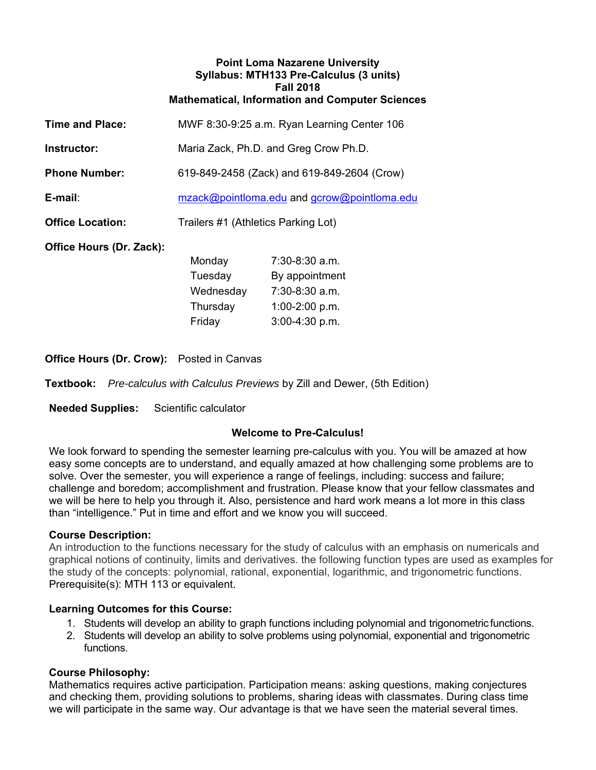#### **Point Loma Nazarene University Syllabus: MTH133 Pre-Calculus (3 units) Fall 2018 Mathematical, Information and Computer Sciences**

| <b>Time and Place:</b>   | MWF 8:30-9:25 a.m. Ryan Learning Center 106 |
|--------------------------|---------------------------------------------|
| Instructor:              | Maria Zack, Ph.D. and Greg Crow Ph.D.       |
| <b>Phone Number:</b>     | 619-849-2458 (Zack) and 619-849-2604 (Crow) |
| E-mail:                  | mzack@pointloma.edu and gcrow@pointloma.edu |
| <b>Office Location:</b>  | Trailers #1 (Athletics Parking Lot)         |
| Office Hours (Dr. Zack): |                                             |

Monday 7:30-8:30 a.m. Tuesday By appointment Wednesday 7:30-8:30 a.m. Thursday 1:00-2:00 p.m. Friday 3:00-4:30 p.m.

**Office Hours (Dr. Crow):** Posted in Canvas

**Textbook:** *Pre-calculus with Calculus Previews* by Zill and Dewer, (5th Edition)

**Needed Supplies:** Scientific calculator

# **Welcome to Pre-Calculus!**

We look forward to spending the semester learning pre-calculus with you. You will be amazed at how easy some concepts are to understand, and equally amazed at how challenging some problems are to solve. Over the semester, you will experience a range of feelings, including: success and failure; challenge and boredom; accomplishment and frustration. Please know that your fellow classmates and we will be here to help you through it. Also, persistence and hard work means a lot more in this class than "intelligence." Put in time and effort and we know you will succeed.

### **Course Description:**

An introduction to the functions necessary for the study of calculus with an emphasis on numericals and graphical notions of continuity, limits and derivatives. the following function types are used as examples for the study of the concepts: polynomial, rational, exponential, logarithmic, and trigonometric functions. Prerequisite(s): MTH 113 or equivalent.

### **Learning Outcomes for this Course:**

- 1. Students will develop an ability to graph functions including polynomial and trigonometric functions.
- 2. Students will develop an ability to solve problems using polynomial, exponential and trigonometric functions.

# **Course Philosophy:**

Mathematics requires active participation. Participation means: asking questions, making conjectures and checking them, providing solutions to problems, sharing ideas with classmates. During class time we will participate in the same way. Our advantage is that we have seen the material several times.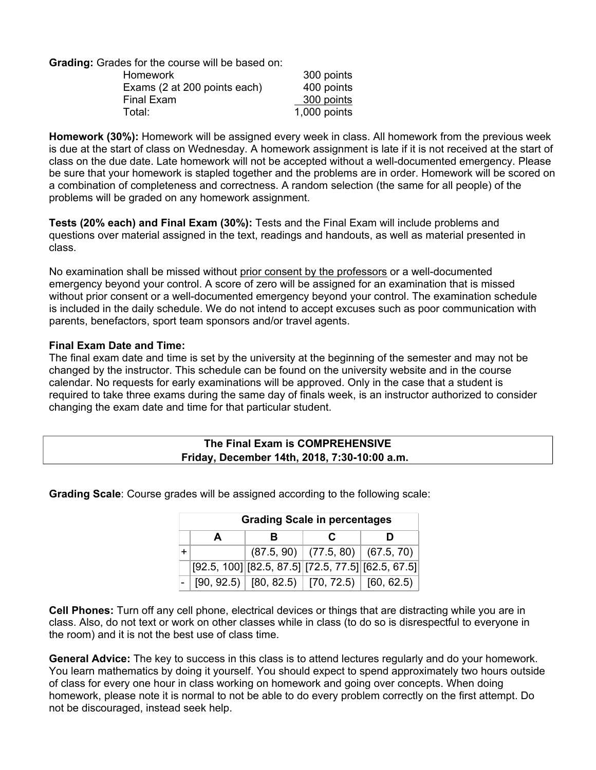**Grading:** Grades for the course will be based on:

| <b>Homework</b>              | 300 points     |
|------------------------------|----------------|
| Exams (2 at 200 points each) | 400 points     |
| <b>Final Exam</b>            | 300 points     |
| Total:                       | $1,000$ points |

**Homework (30%):** Homework will be assigned every week in class. All homework from the previous week is due at the start of class on Wednesday. A homework assignment is late if it is not received at the start of class on the due date. Late homework will not be accepted without a well-documented emergency. Please be sure that your homework is stapled together and the problems are in order. Homework will be scored on a combination of completeness and correctness. A random selection (the same for all people) of the problems will be graded on any homework assignment.

**Tests (20% each) and Final Exam (30%):** Tests and the Final Exam will include problems and questions over material assigned in the text, readings and handouts, as well as material presented in class.

No examination shall be missed without prior consent by the professors or a well-documented emergency beyond your control. A score of zero will be assigned for an examination that is missed without prior consent or a well-documented emergency beyond your control. The examination schedule is included in the daily schedule. We do not intend to accept excuses such as poor communication with parents, benefactors, sport team sponsors and/or travel agents.

#### **Final Exam Date and Time:**

The final exam date and time is set by the university at the beginning of the semester and may not be changed by the instructor. This schedule can be found on the university website and in the course calendar. No requests for early examinations will be approved. Only in the case that a student is required to take three exams during the same day of finals week, is an instructor authorized to consider changing the exam date and time for that particular student.

# **The Final Exam is COMPREHENSIVE Friday, December 14th, 2018, 7:30-10:00 a.m.**

| <b>Grading Scale in percentages</b> |   |  |                                                            |   |  |  |  |
|-------------------------------------|---|--|------------------------------------------------------------|---|--|--|--|
|                                     | R |  | С                                                          | n |  |  |  |
|                                     |   |  | $(87.5, 90)$ (77.5, 80) (67.5, 70)                         |   |  |  |  |
|                                     |   |  | $[92.5, 100]$ $[82.5, 87.5]$ $[72.5, 77.5]$ $[62.5, 67.5]$ |   |  |  |  |
|                                     |   |  | $[90, 92.5]$ $[80, 82.5]$ $[70, 72.5]$ $[60, 62.5)$        |   |  |  |  |

**Grading Scale**: Course grades will be assigned according to the following scale:

**Cell Phones:** Turn off any cell phone, electrical devices or things that are distracting while you are in class. Also, do not text or work on other classes while in class (to do so is disrespectful to everyone in the room) and it is not the best use of class time.

**General Advice:** The key to success in this class is to attend lectures regularly and do your homework. You learn mathematics by doing it yourself. You should expect to spend approximately two hours outside of class for every one hour in class working on homework and going over concepts. When doing homework, please note it is normal to not be able to do every problem correctly on the first attempt. Do not be discouraged, instead seek help.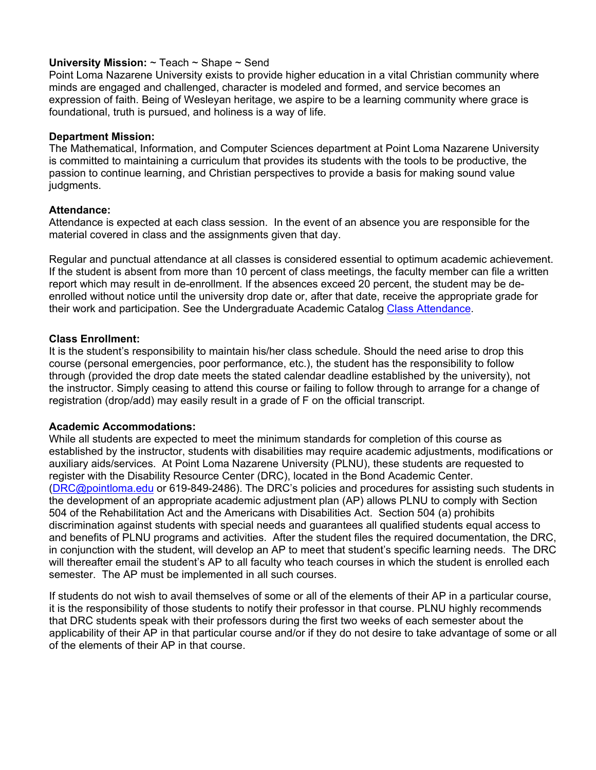## **University Mission:** ~ Teach ~ Shape ~ Send

Point Loma Nazarene University exists to provide higher education in a vital Christian community where minds are engaged and challenged, character is modeled and formed, and service becomes an expression of faith. Being of Wesleyan heritage, we aspire to be a learning community where grace is foundational, truth is pursued, and holiness is a way of life.

### **Department Mission:**

The Mathematical, Information, and Computer Sciences department at Point Loma Nazarene University is committed to maintaining a curriculum that provides its students with the tools to be productive, the passion to continue learning, and Christian perspectives to provide a basis for making sound value judgments.

# **Attendance:**

Attendance is expected at each class session. In the event of an absence you are responsible for the material covered in class and the assignments given that day.

Regular and punctual attendance at all classes is considered essential to optimum academic achievement. If the student is absent from more than 10 percent of class meetings, the faculty member can file a written report which may result in de-enrollment. If the absences exceed 20 percent, the student may be deenrolled without notice until the university drop date or, after that date, receive the appropriate grade for their work and participation. See the Undergraduate Academic Catalog Class Attendance.

# **Class Enrollment:**

It is the student's responsibility to maintain his/her class schedule. Should the need arise to drop this course (personal emergencies, poor performance, etc.), the student has the responsibility to follow through (provided the drop date meets the stated calendar deadline established by the university), not the instructor. Simply ceasing to attend this course or failing to follow through to arrange for a change of registration (drop/add) may easily result in a grade of F on the official transcript.

### **Academic Accommodations:**

While all students are expected to meet the minimum standards for completion of this course as established by the instructor, students with disabilities may require academic adjustments, modifications or auxiliary aids/services. At Point Loma Nazarene University (PLNU), these students are requested to register with the Disability Resource Center (DRC), located in the Bond Academic Center. (DRC@pointloma.edu or 619-849-2486). The DRC's policies and procedures for assisting such students in the development of an appropriate academic adjustment plan (AP) allows PLNU to comply with Section 504 of the Rehabilitation Act and the Americans with Disabilities Act. Section 504 (a) prohibits discrimination against students with special needs and guarantees all qualified students equal access to and benefits of PLNU programs and activities. After the student files the required documentation, the DRC, in conjunction with the student, will develop an AP to meet that student's specific learning needs. The DRC will thereafter email the student's AP to all faculty who teach courses in which the student is enrolled each semester. The AP must be implemented in all such courses.

If students do not wish to avail themselves of some or all of the elements of their AP in a particular course, it is the responsibility of those students to notify their professor in that course. PLNU highly recommends that DRC students speak with their professors during the first two weeks of each semester about the applicability of their AP in that particular course and/or if they do not desire to take advantage of some or all of the elements of their AP in that course.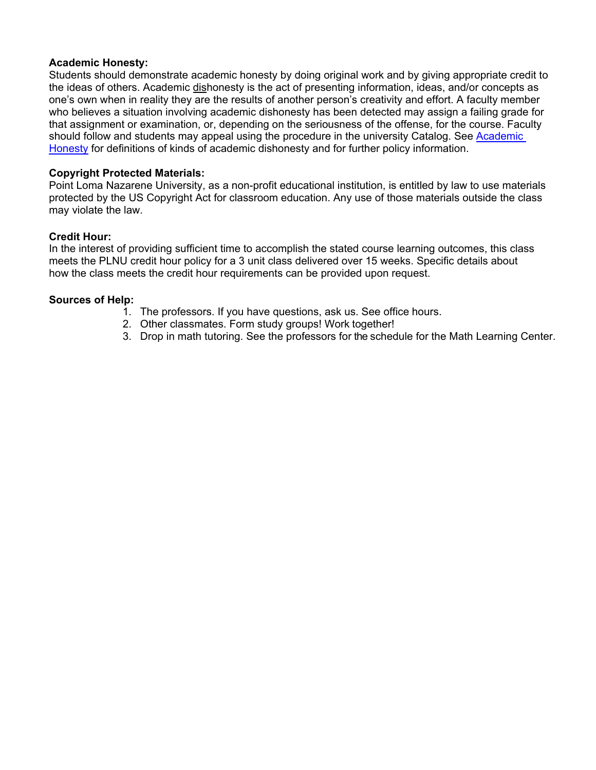#### **Academic Honesty:**

Students should demonstrate academic honesty by doing original work and by giving appropriate credit to the ideas of others. Academic dishonesty is the act of presenting information, ideas, and/or concepts as one's own when in reality they are the results of another person's creativity and effort. A faculty member who believes a situation involving academic dishonesty has been detected may assign a failing grade for that assignment or examination, or, depending on the seriousness of the offense, for the course. Faculty should follow and students may appeal using the procedure in the university Catalog. See Academic Honesty for definitions of kinds of academic dishonesty and for further policy information.

### **Copyright Protected Materials:**

Point Loma Nazarene University, as a non-profit educational institution, is entitled by law to use materials protected by the US Copyright Act for classroom education. Any use of those materials outside the class may violate the law.

#### **Credit Hour:**

In the interest of providing sufficient time to accomplish the stated course learning outcomes, this class meets the PLNU credit hour policy for a 3 unit class delivered over 15 weeks. Specific details about how the class meets the credit hour requirements can be provided upon request.

#### **Sources of Help:**

- 1. The professors. If you have questions, ask us. See office hours.
- 2. Other classmates. Form study groups! Work together!
- 3. Drop in math tutoring. See the professors for the schedule for the Math Learning Center.